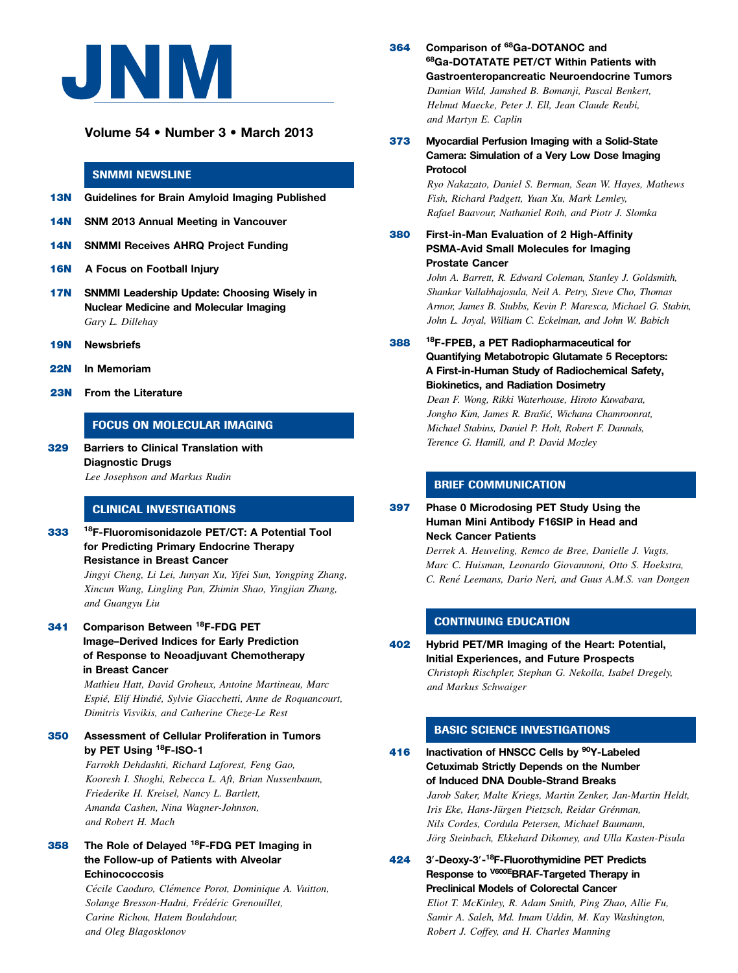

# Volume 54 • Number 3 • March 2013

## SNMMI NEWSLINE

- 13N Guidelines for Brain Amyloid Imaging Published
- 14N SNM 2013 Annual Meeting in Vancouver
- 14N SNMMI Receives AHRQ Project Funding
- 16N A Focus on Football Injury
- 17N SNMMI Leadership Update: Choosing Wisely in Nuclear Medicine and Molecular Imaging Gary L. Dillehay
- 19N Newsbriefs
- 22N In Memoriam
- 23N From the Literature

## FOCUS ON MOLECULAR IMAGING

329 Barriers to Clinical Translation with Diagnostic Drugs Lee Josephson and Markus Rudin

#### CLINICAL INVESTIGATIONS

333 18F-Fluoromisonidazole PET/CT: A Potential Tool for Predicting Primary Endocrine Therapy Resistance in Breast Cancer

> Jingyi Cheng, Li Lei, Junyan Xu, Yifei Sun, Yongping Zhang, Xincun Wang, Lingling Pan, Zhimin Shao, Yingjian Zhang, and Guangyu Liu

341 Comparison Between <sup>18</sup>F-FDG PET Image–Derived Indices for Early Prediction of Response to Neoadjuvant Chemotherapy in Breast Cancer

> Mathieu Hatt, David Groheux, Antoine Martineau, Marc Espié, Elif Hindié, Sylvie Giacchetti, Anne de Roquancourt, Dimitris Visvikis, and Catherine Cheze-Le Rest

### 350 Assessment of Cellular Proliferation in Tumors by PET Using <sup>18</sup>F-ISO-1

Farrokh Dehdashti, Richard Laforest, Feng Gao, Kooresh I. Shoghi, Rebecca L. Aft, Brian Nussenbaum, Friederike H. Kreisel, Nancy L. Bartlett, Amanda Cashen, Nina Wagner-Johnson, and Robert H. Mach

### 358 The Role of Delayed 18F-FDG PET Imaging in the Follow-up of Patients with Alveolar Echinococcosis

Cécile Caoduro, Clémence Porot, Dominique A. Vuitton, Solange Bresson-Hadni, Frédéric Grenouillet, Carine Richou, Hatem Boulahdour, and Oleg Blagosklonov

- 364 Comparison of 68Ga-DOTANOC and 68Ga-DOTATATE PET/CT Within Patients with Gastroenteropancreatic Neuroendocrine Tumors Damian Wild, Jamshed B. Bomanji, Pascal Benkert, Helmut Maecke, Peter J. Ell, Jean Claude Reubi, and Martyn E. Caplin
- 373 Myocardial Perfusion Imaging with a Solid-State Camera: Simulation of a Very Low Dose Imaging Protocol

Ryo Nakazato, Daniel S. Berman, Sean W. Hayes, Mathews Fish, Richard Padgett, Yuan Xu, Mark Lemley, Rafael Baavour, Nathaniel Roth, and Piotr J. Slomka

380 First-in-Man Evaluation of 2 High-Affinity PSMA-Avid Small Molecules for Imaging Prostate Cancer

> John A. Barrett, R. Edward Coleman, Stanley J. Goldsmith, Shankar Vallabhajosula, Neil A. Petry, Steve Cho, Thomas Armor, James B. Stubbs, Kevin P. Maresca, Michael G. Stabin, John L. Joyal, William C. Eckelman, and John W. Babich

388 18F-FPEB, a PET Radiopharmaceutical for Quantifying Metabotropic Glutamate 5 Receptors: A First-in-Human Study of Radiochemical Safety, Biokinetics, and Radiation Dosimetry

> Dean F. Wong, Rikki Waterhouse, Hiroto Kuwabara, Jongho Kim, James R. Brašić, Wichana Chamroonrat, Michael Stabins, Daniel P. Holt, Robert F. Dannals, Terence G. Hamill, and P. David Mozley

### BRIEF COMMUNICATION

397 Phase 0 Microdosing PET Study Using the Human Mini Antibody F16SIP in Head and Neck Cancer Patients

> Derrek A. Heuveling, Remco de Bree, Danielle J. Vugts, Marc C. Huisman, Leonardo Giovannoni, Otto S. Hoekstra, C. René Leemans, Dario Neri, and Guus A.M.S. van Dongen

# CONTINUING EDUCATION

402 Hybrid PET/MR Imaging of the Heart: Potential, Initial Experiences, and Future Prospects Christoph Rischpler, Stephan G. Nekolla, Isabel Dregely, and Markus Schwaiger

## BASIC SCIENCE INVESTIGATIONS

- 416 Inactivation of HNSCC Cells by <sup>90</sup>Y-Labeled Cetuximab Strictly Depends on the Number of Induced DNA Double-Strand Breaks Jarob Saker, Malte Kriegs, Martin Zenker, Jan-Martin Heldt, Iris Eke, Hans-Jürgen Pietzsch, Reidar Grénman, Nils Cordes, Cordula Petersen, Michael Baumann, Jörg Steinbach, Ekkehard Dikomey, and Ulla Kasten-Pisula
- 424 3'-Deoxy-3'-<sup>18</sup>F-Fluorothymidine PET Predicts Response to V600EBRAF-Targeted Therapy in Preclinical Models of Colorectal Cancer Eliot T. McKinley, R. Adam Smith, Ping Zhao, Allie Fu, Samir A. Saleh, Md. Imam Uddin, M. Kay Washington, Robert J. Coffey, and H. Charles Manning